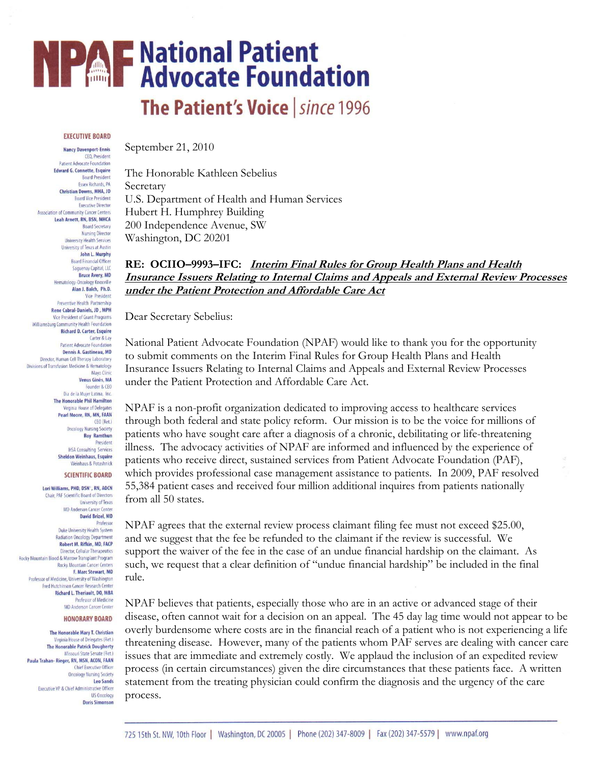# **NPAF National Patient<br>NPAF Advocate Foundation**

## The Patient's Voice | since 1996

#### **EXECUTIVE BOARD**

**Nancy Davenport-Ennis** CEO, President **Patient Advocate Foundation Edward G. Connette, Esquire Board President Essex Richards, PA** Christian Downs, MHA, JD **Board Vice President Executive Director** Association of Community Cancer Centers Leah Arnett, RN, BSN, MHCA **Board Secretary Nursing Director University Health Services** University of Texas at Austin John L. Murphy **Board Financial Officer** Saguenay Capital, LLC **Bruce Avery, MD** Hematology-Oncology Knoxville Alan J. Balch, Ph.D. **Vice President** Preventive Health Partnership Rene Cabral-Daniels, JD, MPH Vice President of Grant Programs Williamsburg Community Health Foundation **Richard D. Carter, Esquire** Carter & Lay **Patient Advocate Foundation** Dennis A. Gastineau, MD Director, Human Cell Therapy Laboratory Divisions of Transfusion Medicine & Hematology Mayo Clinic Venus Ginés, MA Founder & CEO Dia de la Mujer Latina, Inc. **The Honorable Phil Hamilton** Virginia House of Delegates Pearl Moore, RN, MN, FAAN CEO (Ret.) **Oncology Nursing Society Roy Ramthun** President **HSA Consulting Services Sheldon Weinhaus, Esquire Weinhaus & Potashnick SCIENTIFIC BOARD** 

Lori Williams, PHD, DSN<sup>-</sup>, RN, AOCN Chair, PAF Scientific Board of Directors **University of Texas** MD Anderson Cancer Center **David Brizel, MD** Professor Duke University Health System **Radiation Oncology Department** Robert M. Rifkin, MD, FACP Director, Cellular Therapeutics Rocky Mountain Blood & Marrow Transplant Program **Rocky Mountain Cancer Centers** F. Marc Stewart, MD Professor of Medicine, University of Washington Fred Hutchinson Cancer Research Center **Richard L. Theriault, DO, MBA Professor of Medicine** 

#### **MD Anderson Cancer Center HONORARY BOARD**

The Honorable Mary T. Christian Virginia House of Delegates (Ret.) **The Honorable Patrick Dougherty** Missouri State Senate (Ret.) Paula Trahan- Rieger, RN, MSN, ACON, FAAN **Chief Executive Officer Oncology Nursing Society Leo Sands** Executive VP & Chief Administrative Officer **US Oncology Doris Simonson** 

September 21, 2010

The Honorable Kathleen Sebelius Secretary U.S. Department of Health and Human Services Hubert H. Humphrey Building 200 Independence Avenue, SW Washington, DC 20201

### **RE: OCIIO–9993–IFC: Interim Final Rules for Group Health Plans and Health Insurance Issuers Relating to Internal Claims and Appeals and External Review Processes under the Patient Protection and Affordable Care Act**

Dear Secretary Sebelius:

National Patient Advocate Foundation (NPAF) would like to thank you for the opportunity to submit comments on the Interim Final Rules for Group Health Plans and Health Insurance Issuers Relating to Internal Claims and Appeals and External Review Processes under the Patient Protection and Affordable Care Act.

NPAF is a non-profit organization dedicated to improving access to healthcare services through both federal and state policy reform. Our mission is to be the voice for millions of patients who have sought care after a diagnosis of a chronic, debilitating or life-threatening illness. The advocacy activities of NPAF are informed and influenced by the experience of patients who receive direct, sustained services from Patient Advocate Foundation (PAF), which provides professional case management assistance to patients. In 2009, PAF resolved 55,384 patient cases and received four million additional inquires from patients nationally from all 50 states.

NPAF agrees that the external review process claimant filing fee must not exceed \$25.00, and we suggest that the fee be refunded to the claimant if the review is successful. We support the waiver of the fee in the case of an undue financial hardship on the claimant. As such, we request that a clear definition of "undue financial hardship" be included in the final rule.

NPAF believes that patients, especially those who are in an active or advanced stage of their disease, often cannot wait for a decision on an appeal. The 45 day lag time would not appear to be overly burdensome where costs are in the financial reach of a patient who is not experiencing a life threatening disease. However, many of the patients whom PAF serves are dealing with cancer care issues that are immediate and extremely costly. We applaud the inclusion of an expedited review process (in certain circumstances) given the dire circumstances that these patients face. A written statement from the treating physician could confirm the diagnosis and the urgency of the care process.